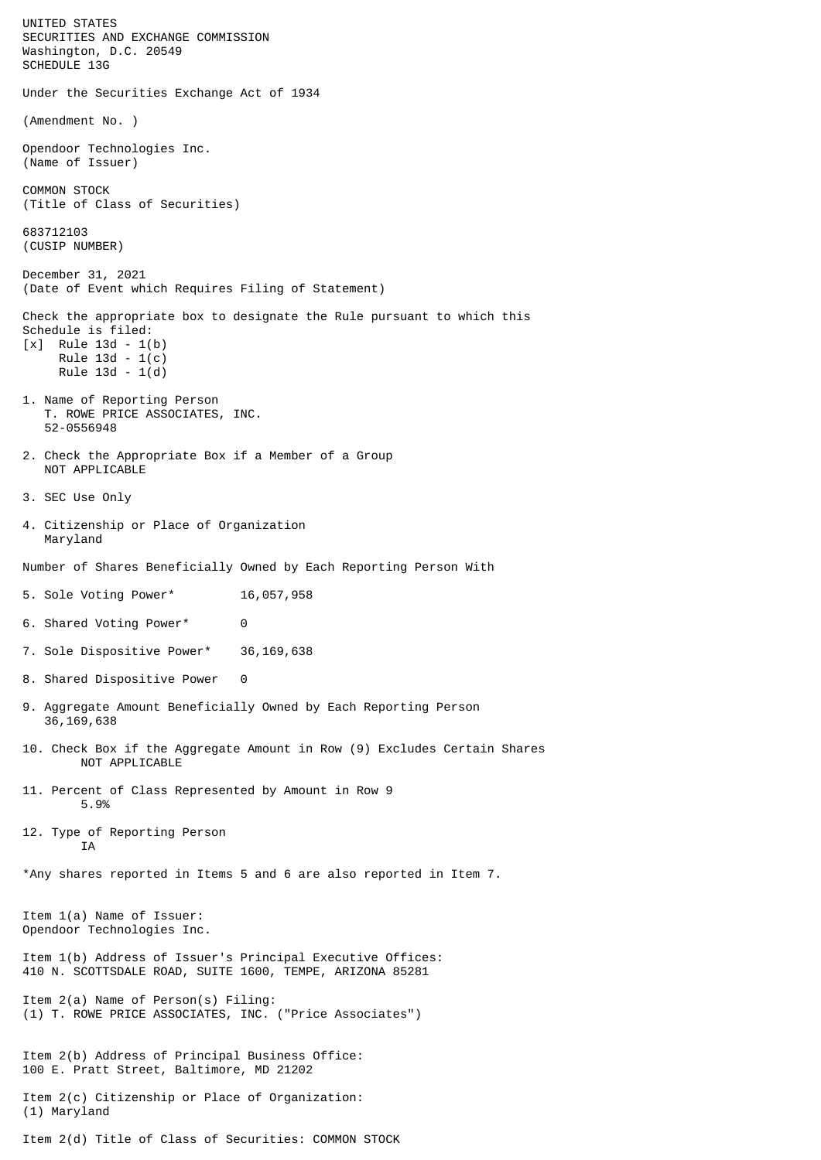UNITED STATES SECURITIES AND EXCHANGE COMMISSION Washington, D.C. 20549 SCHEDULE 13G Under the Securities Exchange Act of 1934 (Amendment No. ) Opendoor Technologies Inc. (Name of Issuer) COMMON STOCK (Title of Class of Securities) 683712103 (CUSIP NUMBER) December 31, 2021 (Date of Event which Requires Filing of Statement) Check the appropriate box to designate the Rule pursuant to which this Schedule is filed: [x] Rule 13d - 1(b) Rule 13d - 1(c) Rule 13d - 1(d) 1. Name of Reporting Person T. ROWE PRICE ASSOCIATES, INC. 52-0556948 2. Check the Appropriate Box if a Member of a Group NOT APPLICABLE 3. SEC Use Only 4. Citizenship or Place of Organization Maryland Number of Shares Beneficially Owned by Each Reporting Person With 5. Sole Voting Power\* 16,057,958 6. Shared Voting Power\* 0 7. Sole Dispositive Power\* 36,169,638 8. Shared Dispositive Power 0 9. Aggregate Amount Beneficially Owned by Each Reporting Person 36,169,638 10. Check Box if the Aggregate Amount in Row (9) Excludes Certain Shares NOT APPLICABLE 11. Percent of Class Represented by Amount in Row 9 5.9% 12. Type of Reporting Person **TA** \*Any shares reported in Items 5 and 6 are also reported in Item 7. Item 1(a) Name of Issuer: Opendoor Technologies Inc. Item 1(b) Address of Issuer's Principal Executive Offices: 410 N. SCOTTSDALE ROAD, SUITE 1600, TEMPE, ARIZONA 85281 Item 2(a) Name of Person(s) Filing: (1) T. ROWE PRICE ASSOCIATES, INC. ("Price Associates") Item 2(b) Address of Principal Business Office: 100 E. Pratt Street, Baltimore, MD 21202 Item 2(c) Citizenship or Place of Organization: (1) Maryland Item 2(d) Title of Class of Securities: COMMON STOCK